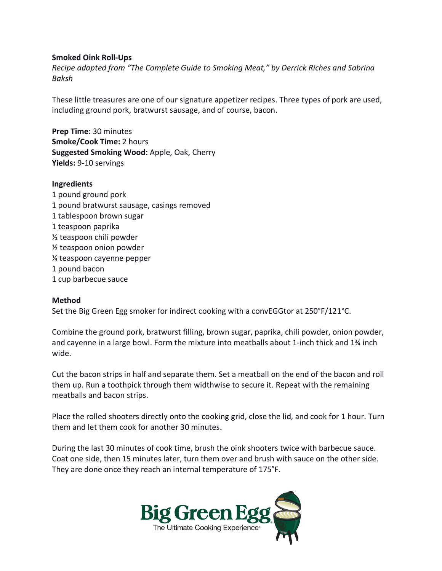## **Smoked Oink Roll-Ups**

*Recipe adapted from "The Complete Guide to Smoking Meat," by Derrick Riches and Sabrina Baksh*

These little treasures are one of our signature appetizer recipes. Three types of pork are used, including ground pork, bratwurst sausage, and of course, bacon.

**Prep Time:** 30 minutes **Smoke/Cook Time:** 2 hours **Suggested Smoking Wood:** Apple, Oak, Cherry **Yields:** 9-10 servings

## **Ingredients**

1 pound ground pork 1 pound bratwurst sausage, casings removed 1 tablespoon brown sugar 1 teaspoon paprika ½ teaspoon chili powder ½ teaspoon onion powder ¼ teaspoon cayenne pepper 1 pound bacon 1 cup barbecue sauce

## **Method**

Set the Big Green Egg smoker for indirect cooking with a convEGGtor at 250°F/121°C.

Combine the ground pork, bratwurst filling, brown sugar, paprika, chili powder, onion powder, and cayenne in a large bowl. Form the mixture into meatballs about 1-inch thick and 1¾ inch wide.

Cut the bacon strips in half and separate them. Set a meatball on the end of the bacon and roll them up. Run a toothpick through them widthwise to secure it. Repeat with the remaining meatballs and bacon strips.

Place the rolled shooters directly onto the cooking grid, close the lid, and cook for 1 hour. Turn them and let them cook for another 30 minutes.

During the last 30 minutes of cook time, brush the oink shooters twice with barbecue sauce. Coat one side, then 15 minutes later, turn them over and brush with sauce on the other side. They are done once they reach an internal temperature of 175°F.